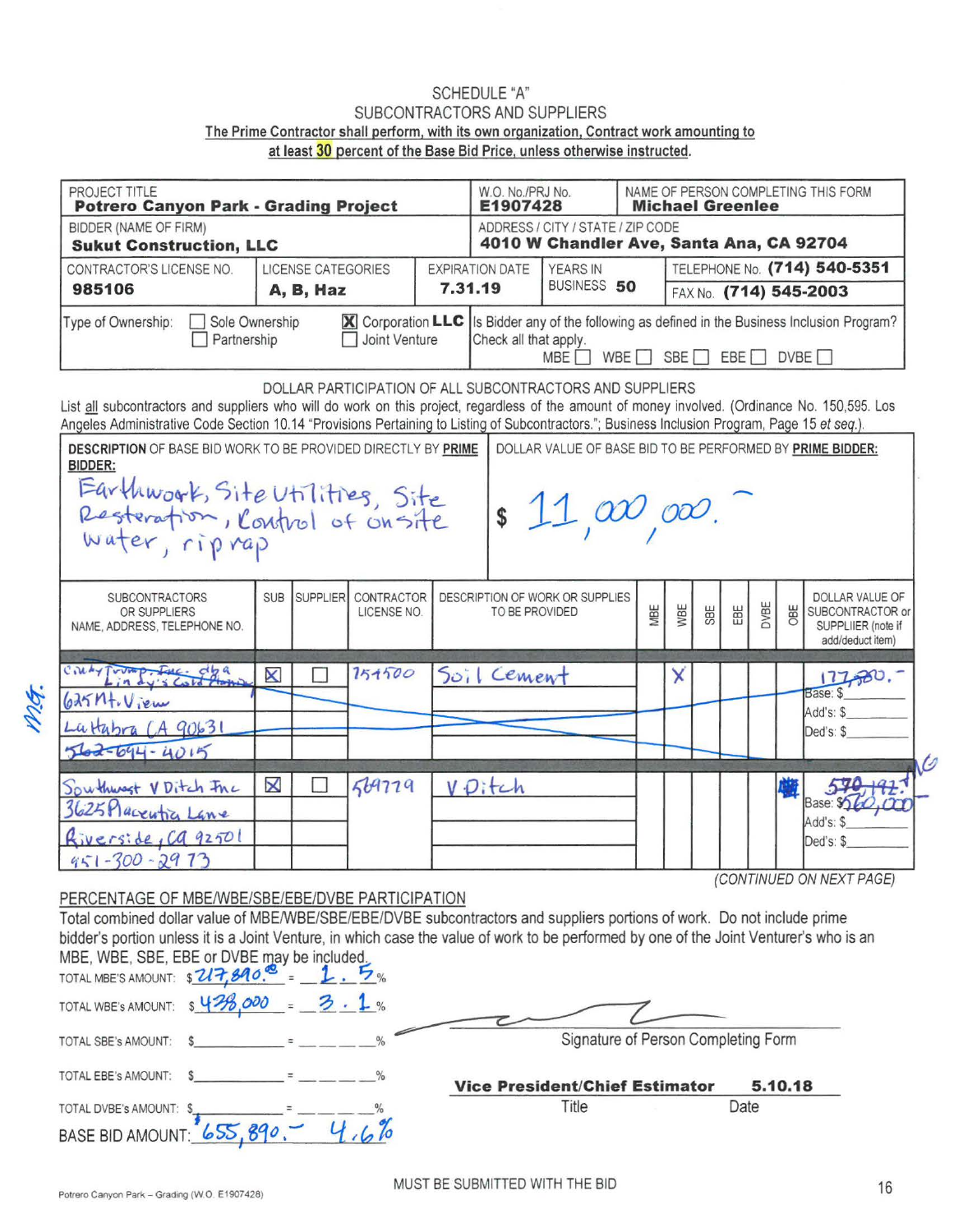## SCHEDULE "A" SUBCONTRACTORS AND SUPPLIERS The Prime Contractor shall perform, with its own organization. Contract work amounting to at least 30 percent of the Base Bid Price, unless otherwise instructed.

| PROJECT TITLE<br><b>Potrero Canyon Park - Grading Project</b>                                                                                                                                                                                                                                     | W.O. No./PRJ No.<br>E1907428 |                 |                                                                               | NAME OF PERSON COMPLETING THIS FORM<br><b>Michael Greenlee</b> |                       |                                                           |             |                        |     |      |     |                                                            |                                                                                      |  |
|---------------------------------------------------------------------------------------------------------------------------------------------------------------------------------------------------------------------------------------------------------------------------------------------------|------------------------------|-----------------|-------------------------------------------------------------------------------|----------------------------------------------------------------|-----------------------|-----------------------------------------------------------|-------------|------------------------|-----|------|-----|------------------------------------------------------------|--------------------------------------------------------------------------------------|--|
| <b>BIDDER (NAME OF FIRM)</b><br><b>Sukut Construction, LLC</b>                                                                                                                                                                                                                                    |                              |                 | ADDRESS / CITY / STATE / ZIP CODE<br>4010 W Chandler Ave, Santa Ana, CA 92704 |                                                                |                       |                                                           |             |                        |     |      |     |                                                            |                                                                                      |  |
| CONTRACTOR'S LICENSE NO.                                                                                                                                                                                                                                                                          | <b>EXPIRATION DATE</b>       |                 | TELEPHONE No. (714) 540-5351                                                  |                                                                |                       |                                                           |             |                        |     |      |     |                                                            |                                                                                      |  |
| 985106                                                                                                                                                                                                                                                                                            | 7.31.19<br>A, B, Haz         |                 |                                                                               |                                                                |                       |                                                           | BUSINESS 50 | FAX No. (714) 545-2003 |     |      |     |                                                            |                                                                                      |  |
| Type of Ownership:<br>Sole Ownership<br>Partnership                                                                                                                                                                                                                                               |                              |                 | <b>X</b> Corporation LLC<br>Joint Venture                                     |                                                                | Check all that apply. | <b>MBE</b>                                                | WBE         | SBE                    |     | EBE  |     |                                                            | Is Bidder any of the following as defined in the Business Inclusion Program?<br>DVBE |  |
| List all subcontractors and suppliers who will do work on this project, regardless of the amount of money involved. (Ordinance No. 150,595. Los<br>Angeles Administrative Code Section 10.14 "Provisions Pertaining to Listing of Subcontractors."; Business Inclusion Program, Page 15 et seq.). |                              |                 |                                                                               |                                                                |                       | DOLLAR PARTICIPATION OF ALL SUBCONTRACTORS AND SUPPLIERS  |             |                        |     |      |     |                                                            |                                                                                      |  |
| <b>DESCRIPTION OF BASE BID WORK TO BE PROVIDED DIRECTLY BY PRIME</b><br>BIDDER:                                                                                                                                                                                                                   |                              |                 |                                                                               |                                                                |                       | DOLLAR VALUE OF BASE BID TO BE PERFORMED BY PRIME BIDDER: |             |                        |     |      |     |                                                            |                                                                                      |  |
|                                                                                                                                                                                                                                                                                                   |                              |                 |                                                                               |                                                                |                       |                                                           |             |                        |     |      |     |                                                            |                                                                                      |  |
|                                                                                                                                                                                                                                                                                                   |                              |                 |                                                                               |                                                                |                       | $\int 1 \omega$ or                                        |             |                        |     |      |     |                                                            |                                                                                      |  |
| Earthwork, Site Utilities, Site<br>Resteration, Control of Onsite<br>Water, riprap                                                                                                                                                                                                                |                              |                 |                                                                               |                                                                |                       |                                                           |             |                        |     |      |     |                                                            |                                                                                      |  |
| <b>SUBCONTRACTORS</b>                                                                                                                                                                                                                                                                             | <b>SUB</b>                   | <b>SUPPLIER</b> | CONTRACTOR                                                                    |                                                                |                       | DESCRIPTION OF WORK OR SUPPLIES                           |             |                        |     |      |     |                                                            | DOLLAR VALUE OF                                                                      |  |
| OR SUPPLIERS<br>NAME, ADDRESS, TELEPHONE NO.                                                                                                                                                                                                                                                      |                              |                 | LICENSE NO.                                                                   |                                                                | TO BE PROVIDED        | MBE                                                       | WBE         | SBE                    | EBE | DVBE | OBE | SUBCONTRACTOR or<br>SUPPLIIER (note if<br>add/deduct item) |                                                                                      |  |
| Cinty Tromp. Inc. dya                                                                                                                                                                                                                                                                             | $\boldsymbol{\mathsf{X}}$    |                 | 151500                                                                        |                                                                | Soil Cement           |                                                           |             | χ                      |     |      |     |                                                            | 17,00.7                                                                              |  |
| $625M + V$ jem                                                                                                                                                                                                                                                                                    |                              |                 |                                                                               |                                                                |                       |                                                           |             |                        |     |      |     |                                                            | Base: \$                                                                             |  |
| Lattabra (A 90631                                                                                                                                                                                                                                                                                 |                              |                 |                                                                               |                                                                |                       |                                                           |             |                        |     |      |     |                                                            | Add's: \$<br>Ded's: \$                                                               |  |
| 562-694-4015                                                                                                                                                                                                                                                                                      |                              |                 |                                                                               |                                                                |                       |                                                           |             |                        |     |      |     |                                                            |                                                                                      |  |
|                                                                                                                                                                                                                                                                                                   | $\pmb{\times}$               |                 | 569779                                                                        |                                                                | V.Ditch               |                                                           |             |                        |     |      |     |                                                            |                                                                                      |  |
| Southwest VDitch FAC<br>3625 Placentic Lane                                                                                                                                                                                                                                                       |                              |                 |                                                                               |                                                                |                       |                                                           |             |                        |     |      |     |                                                            | Base: Sold                                                                           |  |
|                                                                                                                                                                                                                                                                                                   |                              |                 |                                                                               |                                                                |                       |                                                           |             |                        |     |      |     |                                                            | Add's: \$                                                                            |  |
| Riverside, Ca 92501<br>$951 - 300 - 2973$                                                                                                                                                                                                                                                         |                              |                 |                                                                               |                                                                |                       |                                                           |             |                        |     |      |     |                                                            | Ded's: \$                                                                            |  |
|                                                                                                                                                                                                                                                                                                   |                              |                 |                                                                               |                                                                |                       |                                                           |             |                        |     |      |     |                                                            | (CONTINUED ON NEXT PAGE)                                                             |  |
| PERCENTAGE OF MBE/WBE/SBE/EBE/DVBE PARTICIPATION                                                                                                                                                                                                                                                  |                              |                 |                                                                               |                                                                |                       |                                                           |             |                        |     |      |     |                                                            |                                                                                      |  |
| Total combined dollar value of MBE/WBE/SBE/EBE/DVBE subcontractors and suppliers portions of work. Do not include prime                                                                                                                                                                           |                              |                 |                                                                               |                                                                |                       |                                                           |             |                        |     |      |     |                                                            |                                                                                      |  |
|                                                                                                                                                                                                                                                                                                   |                              |                 |                                                                               |                                                                |                       |                                                           |             |                        |     |      |     |                                                            |                                                                                      |  |
|                                                                                                                                                                                                                                                                                                   |                              |                 |                                                                               |                                                                |                       |                                                           |             |                        |     |      |     |                                                            |                                                                                      |  |
| bidder's portion unless it is a Joint Venture, in which case the value of work to be performed by one of the Joint Venturer's who is an<br>MBE, WBE, SBE, EBE or DVBE may be included.                                                                                                            |                              |                 |                                                                               |                                                                |                       |                                                           |             |                        |     |      |     |                                                            |                                                                                      |  |
| TOTAL MBE'S AMOUNT: \$ 2/7,890.<br>TOTAL WBE's AMOUNT: \$438                                                                                                                                                                                                                                      |                              | $-3.1%$         |                                                                               |                                                                |                       |                                                           |             |                        |     |      |     |                                                            |                                                                                      |  |

| TOTAL WBE'S AMOUNT: $\frac{643600}{8} = 3.1$ % |  |                                       |         |
|------------------------------------------------|--|---------------------------------------|---------|
| TOTAL SBE's AMOUNT:                            |  | Signature of Person Completing Form   |         |
| TOTAL EBE's AMOUNT:                            |  | <b>Vice President/Chief Estimator</b> | 5.10.18 |
| TOTAL DVBE's AMOUNT: \$                        |  | Title                                 | Date    |
| BASE BID AMOUNT: 655, 890,-                    |  |                                       |         |

MG.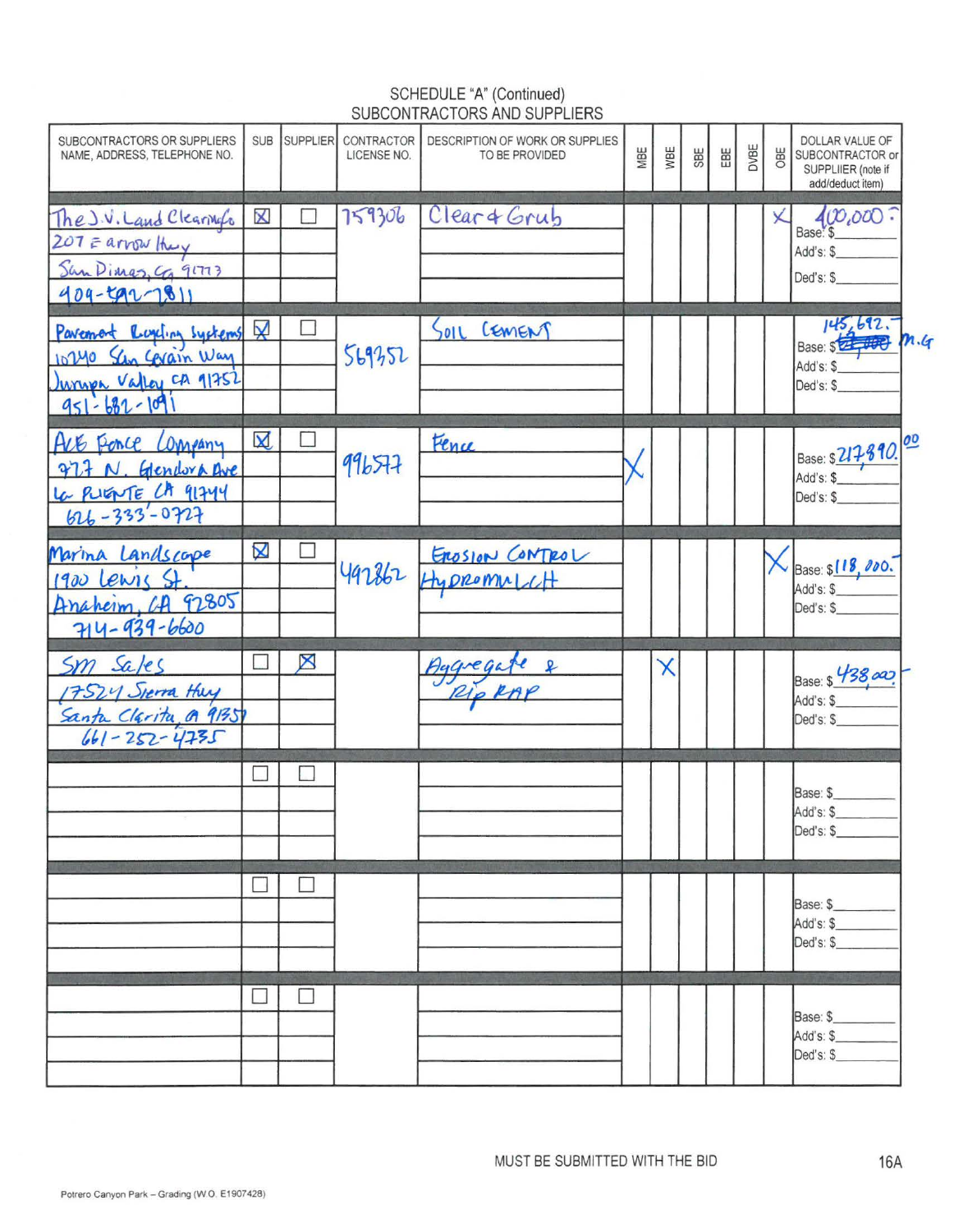## SCHEDULE "A" (Continued)<br>SUBCONTRACTORS AND SUPPLIERS

| SUBCONTRACTORS OR SUPPLIERS<br>NAME, ADDRESS, TELEPHONE NO.                                    | <b>SUB</b>                | <b>SUPPLIER</b> | CONTRACTOR<br>LICENSE NO. | DESCRIPTION OF WORK OR SUPPLIES<br>TO BE PROVIDED | MBE | WBE                       | SBE | EBE | DVBE | OBE | DOLLAR VALUE OF<br>SUBCONTRACTOR or<br>SUPPLIIER (note if<br>add/deduct item) |  |
|------------------------------------------------------------------------------------------------|---------------------------|-----------------|---------------------------|---------------------------------------------------|-----|---------------------------|-----|-----|------|-----|-------------------------------------------------------------------------------|--|
| The J.V. Land Clearings<br>207 = arrow they<br>San Dimas, Ca 91773<br>$409 - 592 - 1811$       | $\mathsf{\chi}$           |                 | 759306                    | Clear & Grub                                      |     |                           |     |     |      |     | 400,000<br>Add's: \$<br>Ded's: \$                                             |  |
| Pavement Roycling Systems &<br>10240 Schn Cevain Way<br>Jurupe Valley CA 91752<br>951-682-1091 |                           |                 | 569352                    | OIL CEMENT                                        |     |                           |     |     |      |     | $145,692,7$<br>Base: \$ <del>22,000</del> m.4<br>Add's: \$<br>Ded's: \$       |  |
| Are Ponce Company<br>977 N. Gendora ave<br>La PUENTE CA 91744                                  | $\boxtimes$               | П               | 996577                    | Fence                                             |     |                           |     |     |      |     | Base: \$217890. 00<br>Ded's: \$                                               |  |
| Marina Landscape<br>$1900$ lewis St<br>Anaheim, CA 92805<br>714-939-6600                       | $\boldsymbol{\mathsf{X}}$ |                 |                           | 497862 ENDROMALCH                                 |     |                           |     |     |      |     | Base: \$118,000.<br>Add's: \$<br>Ded's: \$                                    |  |
| Sm sales<br>17524 Sierra Huy<br>Santa Clarita @ 91351                                          |                           | ⊠               |                           | Aggregate &                                       |     | $\boldsymbol{\mathsf{X}}$ |     |     |      |     | Base: \$ 438,000<br>Add's: \$<br>Ded's: \$                                    |  |
|                                                                                                |                           |                 |                           |                                                   |     |                           |     |     |      |     | Base: \$<br>Add's: \$<br>Ded's: \$                                            |  |
|                                                                                                |                           | L.              |                           |                                                   |     |                           |     |     |      |     | Base: \$<br>Add's: \$<br>Ded's: \$                                            |  |
|                                                                                                |                           | ⊔               |                           |                                                   |     |                           |     |     |      |     | Base: \$<br>Add's: \$<br>Ded's: \$                                            |  |